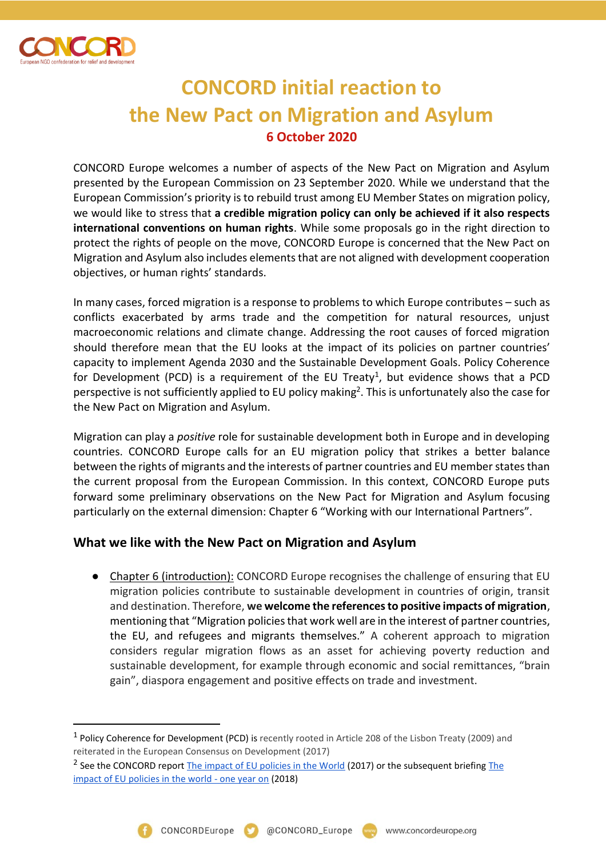

 $\overline{a}$ 

## **CONCORD initial reaction to the New Pact on Migration and Asylum 6 October 2020**

CONCORD Europe welcomes a number of aspects of the New Pact on Migration and Asylum presented by the European Commission on 23 September 2020. While we understand that the European Commission's priority is to rebuild trust among EU Member States on migration policy, we would like to stress that **a credible migration policy can only be achieved if it also respects international conventions on human rights**. While some proposals go in the right direction to protect the rights of people on the move, CONCORD Europe is concerned that the New Pact on Migration and Asylum also includes elements that are not aligned with development cooperation objectives, or human rights' standards.

In many cases, forced migration is a response to problems to which Europe contributes – such as conflicts exacerbated by arms trade and the competition for natural resources, unjust macroeconomic relations and climate change. Addressing the root causes of forced migration should therefore mean that the EU looks at the impact of its policies on partner countries' capacity to implement Agenda 2030 and the Sustainable Development Goals. Policy Coherence for Development (PCD) is a requirement of the EU Treaty<sup>1</sup>, but evidence shows that a PCD perspective is not sufficiently applied to EU policy making<sup>2</sup>. This is unfortunately also the case for the New Pact on Migration and Asylum.

Migration can play a *positive* role for sustainable development both in Europe and in developing countries. CONCORD Europe calls for an EU migration policy that strikes a better balance between the rights of migrants and the interests of partner countries and EU member states than the current proposal from the European Commission. In this context, CONCORD Europe puts forward some preliminary observations on the New Pact for Migration and Asylum focusing particularly on the external dimension: Chapter 6 "Working with our International Partners".

## **What we like with the New Pact on Migration and Asylum**

● Chapter 6 (introduction): CONCORD Europe recognises the challenge of ensuring that EU migration policies contribute to sustainable development in countries of origin, transit and destination. Therefore, **we welcome the references to positive impacts of migration**, mentioning that "Migration policies that work well are in the interest of partner countries, the EU, and refugees and migrants themselves." A coherent approach to migration considers regular migration flows as an asset for achieving poverty reduction and sustainable development, for example through economic and social remittances, "brain gain", diaspora engagement and positive effects on trade and investment.

<sup>&</sup>lt;sup>1</sup> Policy Coherence for Development (PCD) is recently rooted in Article 208 of the Lisbon Treaty (2009) and reiterated in the European Consensus on Development (2017)

<sup>&</sup>lt;sup>2</sup> See the CONCORD report **The impact of EU policies in the World** (2017) or the subsequent briefing The [impact of EU policies in the world -](https://concordeurope.org/2018/11/13/impact-assessment-paper/) one year on (2018)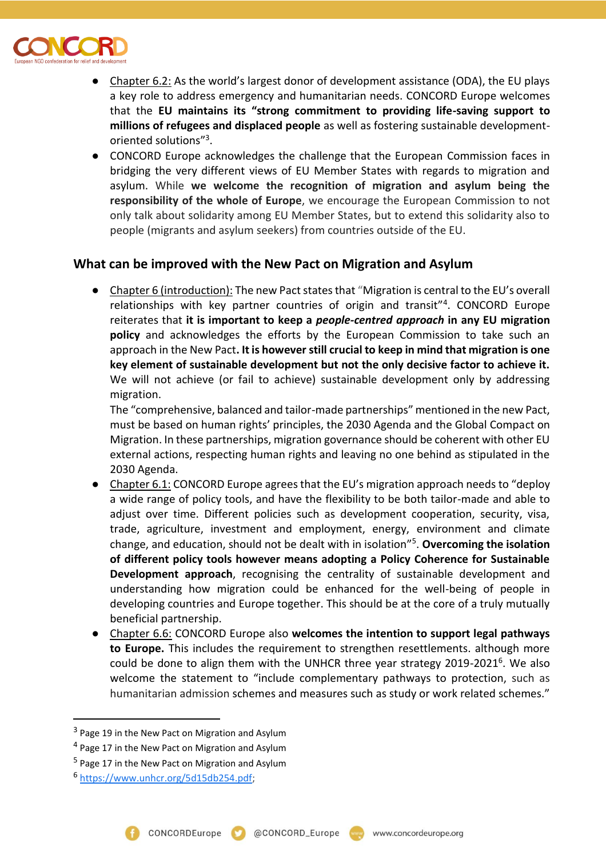

- Chapter 6.2: As the world's largest donor of development assistance (ODA), the EU plays a key role to address emergency and humanitarian needs. CONCORD Europe welcomes that the **EU maintains its "strong commitment to providing life-saving support to millions of refugees and displaced people** as well as fostering sustainable developmentoriented solutions"<sup>3</sup> .
- CONCORD Europe acknowledges the challenge that the European Commission faces in bridging the very different views of EU Member States with regards to migration and asylum. While **we welcome the recognition of migration and asylum being the responsibility of the whole of Europe**, we encourage the European Commission to not only talk about solidarity among EU Member States, but to extend this solidarity also to people (migrants and asylum seekers) from countries outside of the EU.

## **What can be improved with the New Pact on Migration and Asylum**

● Chapter 6 (introduction): The new Pact states that "Migration is central to the EU's overall relationships with key partner countries of origin and transit"<sup>4</sup> . CONCORD Europe reiterates that **it is important to keep a** *people-centred approach* **in any EU migration policy** and acknowledges the efforts by the European Commission to take such an approach in the New Pact**. It is however still crucial to keep in mind that migration is one key element of sustainable development but not the only decisive factor to achieve it.** We will not achieve (or fail to achieve) sustainable development only by addressing migration.

The "comprehensive, balanced and tailor-made partnerships" mentioned in the new Pact, must be based on human rights' principles, the 2030 Agenda and the Global Compact on Migration. In these partnerships, migration governance should be coherent with other EU external actions, respecting human rights and leaving no one behind as stipulated in the 2030 Agenda.

- Chapter 6.1: CONCORD Europe agrees that the EU's migration approach needs to "deploy a wide range of policy tools, and have the flexibility to be both tailor-made and able to adjust over time. Different policies such as development cooperation, security, visa, trade, agriculture, investment and employment, energy, environment and climate change, and education, should not be dealt with in isolation"<sup>5</sup> . **Overcoming the isolation of different policy tools however means adopting a Policy Coherence for Sustainable Development approach**, recognising the centrality of sustainable development and understanding how migration could be enhanced for the well-being of people in developing countries and Europe together. This should be at the core of a truly mutually beneficial partnership.
- Chapter 6.6: CONCORD Europe also **welcomes the intention to support legal pathways to Europe.** This includes the requirement to strengthen resettlements. although more could be done to align them with the UNHCR three year strategy 2019-2021<sup>6</sup>. We also welcome the statement to "include complementary pathways to protection, such as humanitarian admission schemes and measures such as study or work related schemes."

 $\overline{a}$ 

<sup>&</sup>lt;sup>3</sup> Page 19 in the New Pact on Migration and Asylum

<sup>&</sup>lt;sup>4</sup> Page 17 in the New Pact on Migration and Asylum

<sup>&</sup>lt;sup>5</sup> Page 17 in the New Pact on Migration and Asylum

<sup>6</sup> [https://www.unhcr.org/5d15db254.pdf;](https://www.unhcr.org/5d15db254.pdf)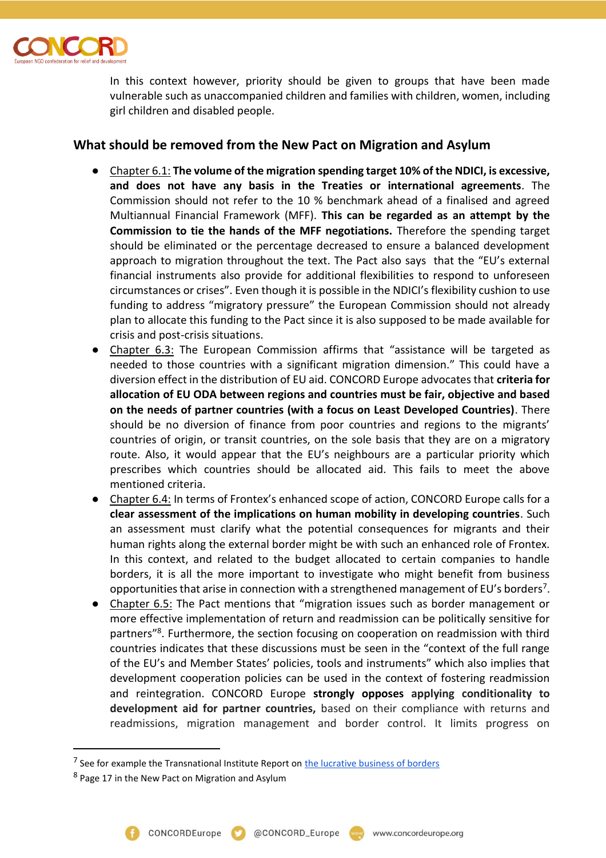

In this context however, priority should be given to groups that have been made vulnerable such as unaccompanied children and families with children, women, including girl children and disabled people.

## **What should be removed from the New Pact on Migration and Asylum**

- Chapter 6.1: **The volume of the migration spending target 10% of the NDICI, is excessive, and does not have any basis in the Treaties or international agreements**. The Commission should not refer to the 10 % benchmark ahead of a finalised and agreed Multiannual Financial Framework (MFF). **This can be regarded as an attempt by the Commission to tie the hands of the MFF negotiations.** Therefore the spending target should be eliminated or the percentage decreased to ensure a balanced development approach to migration throughout the text. The Pact also says that the "EU's external financial instruments also provide for additional flexibilities to respond to unforeseen circumstances or crises". Even though it is possible in the NDICI's flexibility cushion to use funding to address "migratory pressure" the European Commission should not already plan to allocate this funding to the Pact since it is also supposed to be made available for crisis and post-crisis situations.
- Chapter 6.3: The European Commission affirms that "assistance will be targeted as needed to those countries with a significant migration dimension." This could have a diversion effect in the distribution of EU aid. CONCORD Europe advocates that **criteria for allocation of EU ODA between regions and countries must be fair, objective and based on the needs of partner countries (with a focus on Least Developed Countries)**. There should be no diversion of finance from poor countries and regions to the migrants' countries of origin, or transit countries, on the sole basis that they are on a migratory route. Also, it would appear that the EU's neighbours are a particular priority which prescribes which countries should be allocated aid. This fails to meet the above mentioned criteria.
- Chapter 6.4: In terms of Frontex's enhanced scope of action, CONCORD Europe calls for a **clear assessment of the implications on human mobility in developing countries**. Such an assessment must clarify what the potential consequences for migrants and their human rights along the external border might be with such an enhanced role of Frontex. In this context, and related to the budget allocated to certain companies to handle borders, it is all the more important to investigate who might benefit from business opportunities that arise in connection with a strengthened management of EU's borders<sup>7</sup>.
- Chapter 6.5: The Pact mentions that "migration issues such as border management or more effective implementation of return and readmission can be politically sensitive for partners<sup>"8</sup>. Furthermore, the section focusing on cooperation on readmission with third countries indicates that these discussions must be seen in the "context of the full range of the EU's and Member States' policies, tools and instruments" which also implies that development cooperation policies can be used in the context of fostering readmission and reintegration. CONCORD Europe **strongly opposes applying conditionality to development aid for partner countries,** based on their compliance with returns and readmissions, migration management and border control. It limits progress on

 $\overline{a}$ 

<sup>&</sup>lt;sup>7</sup> See for example the Transnational Institute Report on **the lucrative business of borders** 

<sup>&</sup>lt;sup>8</sup> Page 17 in the New Pact on Migration and Asylum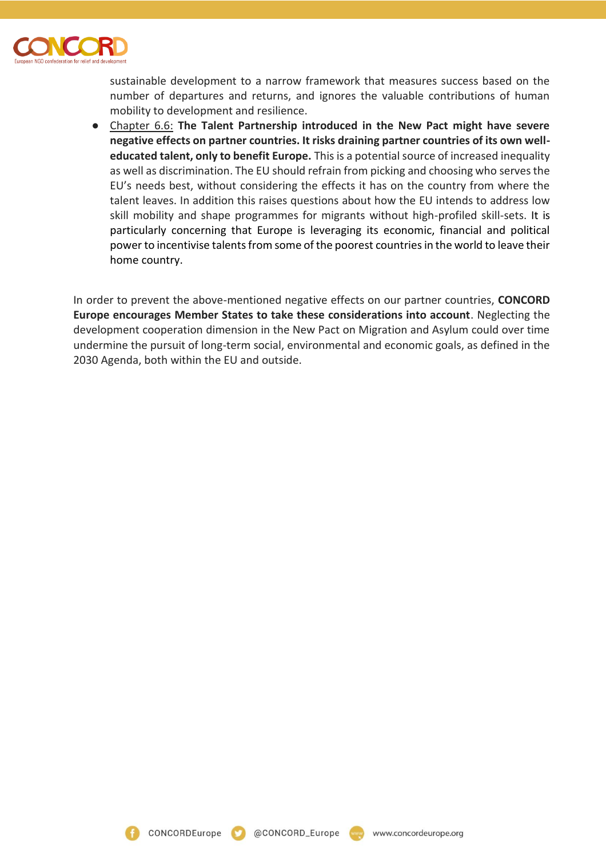

sustainable development to a narrow framework that measures success based on the number of departures and returns, and ignores the valuable contributions of human mobility to development and resilience.

● Chapter 6.6: **The Talent Partnership introduced in the New Pact might have severe negative effects on partner countries. It risks draining partner countries of its own welleducated talent, only to benefit Europe.** This is a potential source of increased inequality as well as discrimination. The EU should refrain from picking and choosing who serves the EU's needs best, without considering the effects it has on the country from where the talent leaves. In addition this raises questions about how the EU intends to address low skill mobility and shape programmes for migrants without high-profiled skill-sets. It is particularly concerning that Europe is leveraging its economic, financial and political power to incentivise talents from some of the poorest countries in the world to leave their home country.

In order to prevent the above-mentioned negative effects on our partner countries, **CONCORD Europe encourages Member States to take these considerations into account**. Neglecting the development cooperation dimension in the New Pact on Migration and Asylum could over time undermine the pursuit of long-term social, environmental and economic goals, as defined in the 2030 Agenda, both within the EU and outside.